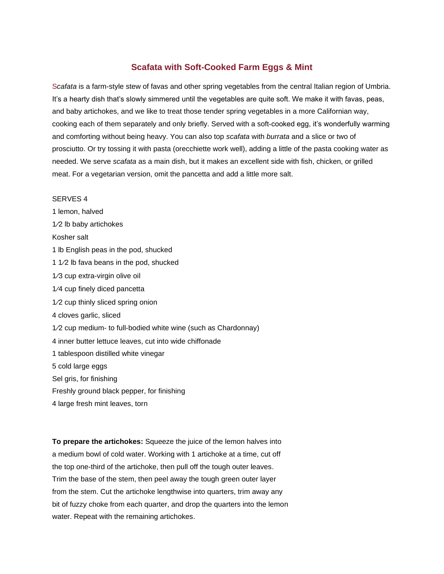## **Scafata with Soft-Cooked Farm Eggs & Mint**

S*cafata* is a farm-style stew of favas and other spring vegetables from the central Italian region of Umbria. It's a hearty dish that's slowly simmered until the vegetables are quite soft. We make it with favas, peas, and baby artichokes, and we like to treat those tender spring vegetables in a more Californian way, cooking each of them separately and only briefly. Served with a soft-cooked egg, it's wonderfully warming and comforting without being heavy. You can also top *scafata* with *burrata* and a slice or two of prosciutto. Or try tossing it with pasta (orecchiette work well), adding a little of the pasta cooking water as needed. We serve *scafata* as a main dish, but it makes an excellent side with fish, chicken, or grilled meat. For a vegetarian version, omit the pancetta and add a little more salt.

## SERVES 4

1 lemon, halved 1⁄2 lb baby artichokes Kosher salt 1 lb English peas in the pod, shucked 1 1⁄2 lb fava beans in the pod, shucked 1⁄3 cup extra-virgin olive oil 1⁄4 cup finely diced pancetta 1⁄2 cup thinly sliced spring onion 4 cloves garlic, sliced 1⁄2 cup medium- to full-bodied white wine (such as Chardonnay) 4 inner butter lettuce leaves, cut into wide chiffonade 1 tablespoon distilled white vinegar 5 cold large eggs Sel gris, for finishing Freshly ground black pepper, for finishing 4 large fresh mint leaves, torn

**To prepare the artichokes:** Squeeze the juice of the lemon halves into a medium bowl of cold water. Working with 1 artichoke at a time, cut off the top one-third of the artichoke, then pull off the tough outer leaves. Trim the base of the stem, then peel away the tough green outer layer from the stem. Cut the artichoke lengthwise into quarters, trim away any bit of fuzzy choke from each quarter, and drop the quarters into the lemon water. Repeat with the remaining artichokes.